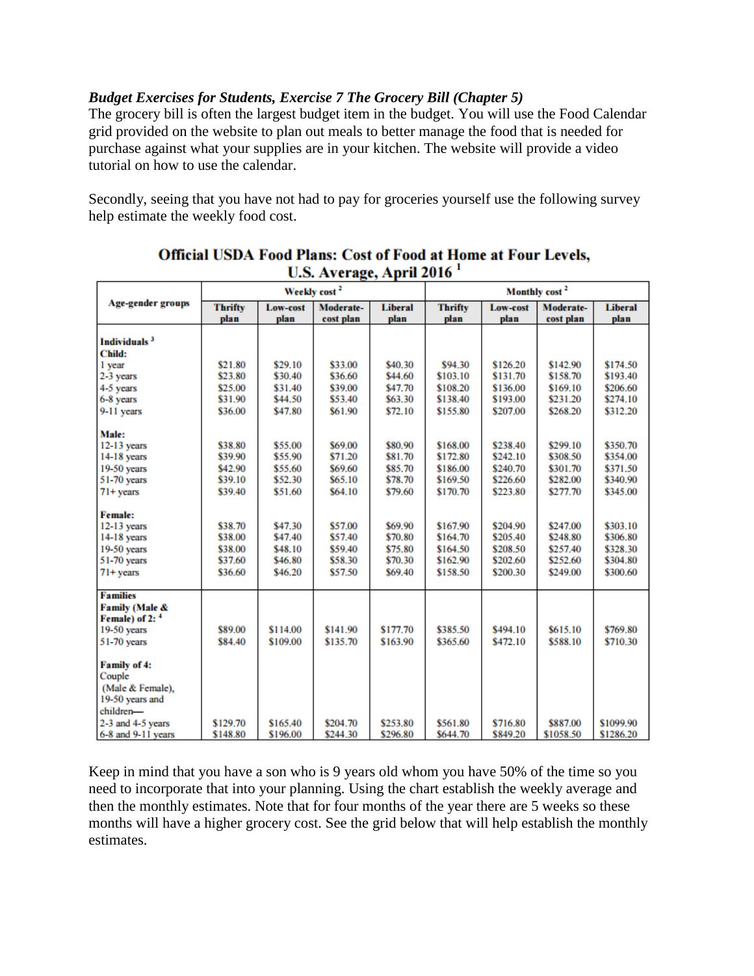## *Budget Exercises for Students, Exercise 7 The Grocery Bill (Chapter 5)*

The grocery bill is often the largest budget item in the budget. You will use the Food Calendar grid provided on the website to plan out meals to better manage the food that is needed for purchase against what your supplies are in your kitchen. The website will provide a video tutorial on how to use the calendar.

Secondly, seeing that you have not had to pay for groceries yourself use the following survey help estimate the weekly food cost.

|                            | Weekly cost <sup>2</sup> |          |           | Monthly cost <sup>2</sup> |                |          |           |                |
|----------------------------|--------------------------|----------|-----------|---------------------------|----------------|----------|-----------|----------------|
| <b>Age-gender groups</b>   | <b>Thrifty</b>           | Low-cost | Moderate- | <b>Liberal</b>            | <b>Thrifty</b> | Low-cost | Moderate- | <b>Liberal</b> |
|                            | plan                     | plan     | cost plan | plan                      | plan           | plan     | cost plan | plan           |
| Individuals <sup>3</sup>   |                          |          |           |                           |                |          |           |                |
| Child:                     |                          |          |           |                           |                |          |           |                |
|                            | \$21.80                  | \$29.10  | \$33.00   | \$40.30                   | \$94.30        | \$126.20 | \$142.90  | \$174.50       |
| 1 year                     | \$23.80                  | \$30.40  | \$36.60   | \$44.60                   | \$103.10       | \$131.70 | \$158.70  | \$193.40       |
| 2-3 years                  |                          |          |           |                           |                |          |           |                |
| 4-5 years                  | \$25.00                  | \$31.40  | \$39.00   | \$47.70                   | \$108.20       | \$136.00 | \$169.10  | \$206.60       |
| 6-8 years                  | \$31.90                  | \$44.50  | \$53.40   | \$63.30                   | \$138.40       | \$193.00 | \$231.20  | \$274.10       |
| 9-11 years                 | \$36.00                  | \$47.80  | \$61.90   | \$72.10                   | \$155.80       | \$207.00 | \$268.20  | \$312.20       |
| Male:                      |                          |          |           |                           |                |          |           |                |
| 12-13 years                | \$38.80                  | \$55.00  | \$69.00   | \$80.90                   | \$168.00       | \$238.40 | \$299.10  | \$350.70       |
| 14-18 years                | \$39.90                  | \$55.90  | \$71.20   | \$81.70                   | \$172.80       | \$242.10 | \$308.50  | \$354.00       |
| 19-50 years                | \$42.90                  | \$55.60  | \$69.60   | \$85.70                   | \$186.00       | \$240.70 | \$301.70  | \$371.50       |
| 51-70 years                | \$39.10                  | \$52.30  | \$65.10   | \$78.70                   | \$169.50       | \$226.60 | \$282.00  | \$340.90       |
| $71+$ years                | \$39.40                  | \$51.60  | \$64.10   | \$79.60                   | \$170.70       | \$223.80 | \$277.70  | \$345.00       |
|                            |                          |          |           |                           |                |          |           |                |
| <b>Female:</b>             |                          |          |           |                           |                |          |           |                |
| 12-13 years                | \$38.70                  | \$47.30  | \$57.00   | \$69.90                   | \$167.90       | \$204.90 | \$247.00  | \$303.10       |
| 14-18 years                | \$38.00                  | \$47.40  | \$57.40   | \$70.80                   | \$164.70       | \$205.40 | \$248.80  | \$306.80       |
| 19-50 years                | \$38.00                  | \$48.10  | \$59.40   | \$75.80                   | \$164.50       | \$208.50 | \$257.40  | \$328.30       |
| 51-70 years                | \$37.60                  | \$46.80  | \$58.30   | \$70.30                   | \$162.90       | \$202.60 | \$252.60  | \$304.80       |
| $71+$ vears                | \$36.60                  | \$46.20  | \$57.50   | \$69.40                   | \$158.50       | \$200.30 | \$249.00  | \$300.60       |
|                            |                          |          |           |                           |                |          |           |                |
| <b>Families</b>            |                          |          |           |                           |                |          |           |                |
| Family (Male &             |                          |          |           |                           |                |          |           |                |
| Female) of 2: <sup>4</sup> |                          |          |           |                           |                |          |           |                |
| 19-50 years                | \$89.00                  | \$114.00 | \$141.90  | \$177.70                  | \$385.50       | \$494.10 | \$615.10  | \$769.80       |
| 51-70 years                | \$84.40                  | \$109.00 | \$135.70  | \$163.90                  | \$365.60       | \$472.10 | \$588.10  | \$710.30       |
|                            |                          |          |           |                           |                |          |           |                |
| <b>Family of 4:</b>        |                          |          |           |                           |                |          |           |                |
| Couple                     |                          |          |           |                           |                |          |           |                |
| (Male & Female),           |                          |          |           |                           |                |          |           |                |
| 19-50 years and            |                          |          |           |                           |                |          |           |                |
| children-                  |                          |          |           |                           |                |          |           |                |
| 2-3 and 4-5 years          | \$129.70                 | \$165.40 | \$204.70  | \$253.80                  | \$561.80       | \$716.80 | \$887.00  | \$1099.90      |
| $6-8$ and $9-11$ vears     | \$148.80                 | \$196.00 | \$244.30  | \$296.80                  | \$644.70       | \$849.20 | \$1058.50 | \$1286.20      |

## **Official USDA Food Plans: Cost of Food at Home at Four Levels,**  $\text{I.S. Average}$  April 2016<sup>1</sup>

Keep in mind that you have a son who is 9 years old whom you have 50% of the time so you need to incorporate that into your planning. Using the chart establish the weekly average and then the monthly estimates. Note that for four months of the year there are 5 weeks so these months will have a higher grocery cost. See the grid below that will help establish the monthly estimates.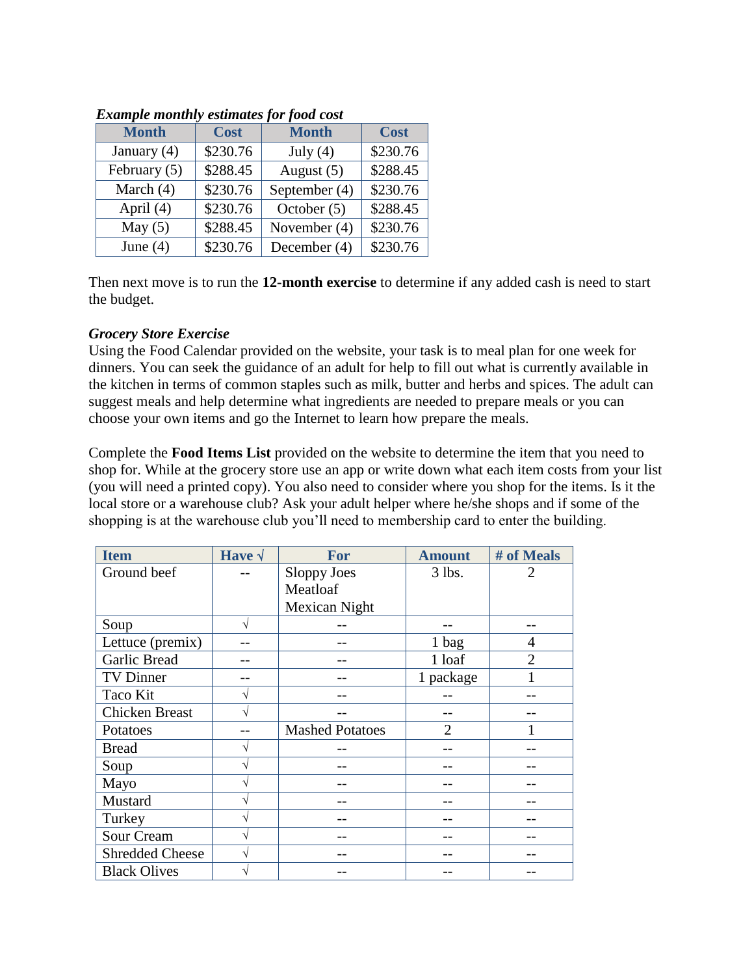| Lawing to monthly communes for food cost |               |             |  |  |  |  |
|------------------------------------------|---------------|-------------|--|--|--|--|
| <b>Cost</b>                              | <b>Month</b>  | <b>Cost</b> |  |  |  |  |
| \$230.76                                 | July $(4)$    | \$230.76    |  |  |  |  |
| \$288.45                                 | August $(5)$  | \$288.45    |  |  |  |  |
| \$230.76                                 | September (4) | \$230.76    |  |  |  |  |
| \$230.76                                 | October $(5)$ | \$288.45    |  |  |  |  |
| \$288.45                                 | November (4)  | \$230.76    |  |  |  |  |
| \$230.76                                 | December (4)  | \$230.76    |  |  |  |  |
|                                          |               |             |  |  |  |  |

## *Example monthly estimates for food cost*

Then next move is to run the **12-month exercise** to determine if any added cash is need to start the budget.

## *Grocery Store Exercise*

Using the Food Calendar provided on the website, your task is to meal plan for one week for dinners. You can seek the guidance of an adult for help to fill out what is currently available in the kitchen in terms of common staples such as milk, butter and herbs and spices. The adult can suggest meals and help determine what ingredients are needed to prepare meals or you can choose your own items and go the Internet to learn how prepare the meals.

Complete the **Food Items List** provided on the website to determine the item that you need to shop for. While at the grocery store use an app or write down what each item costs from your list (you will need a printed copy). You also need to consider where you shop for the items. Is it the local store or a warehouse club? Ask your adult helper where he/she shops and if some of the shopping is at the warehouse club you'll need to membership card to enter the building.

| <b>Item</b>            | Have $\sqrt$ | For                    | <b>Amount</b> | # of Meals     |
|------------------------|--------------|------------------------|---------------|----------------|
| Ground beef            |              | Sloppy Joes            | $3$ lbs.      | $\overline{2}$ |
|                        |              | Meatloaf               |               |                |
|                        |              | Mexican Night          |               |                |
| Soup                   | V            |                        |               |                |
| Lettuce (premix)       |              |                        | 1 bag         | 4              |
| Garlic Bread           |              |                        | 1 loaf        | $\overline{2}$ |
| TV Dinner              |              |                        | 1 package     |                |
| Taco Kit               | N            |                        |               |                |
| <b>Chicken Breast</b>  |              |                        |               |                |
| Potatoes               |              | <b>Mashed Potatoes</b> | $\mathcal{D}$ |                |
| <b>Bread</b>           |              |                        |               |                |
| Soup                   |              |                        |               |                |
| Mayo                   |              |                        |               |                |
| Mustard                | N            |                        |               |                |
| Turkey                 | V            |                        |               |                |
| Sour Cream             |              |                        |               |                |
| <b>Shredded Cheese</b> | V            |                        |               |                |
| <b>Black Olives</b>    |              |                        |               |                |